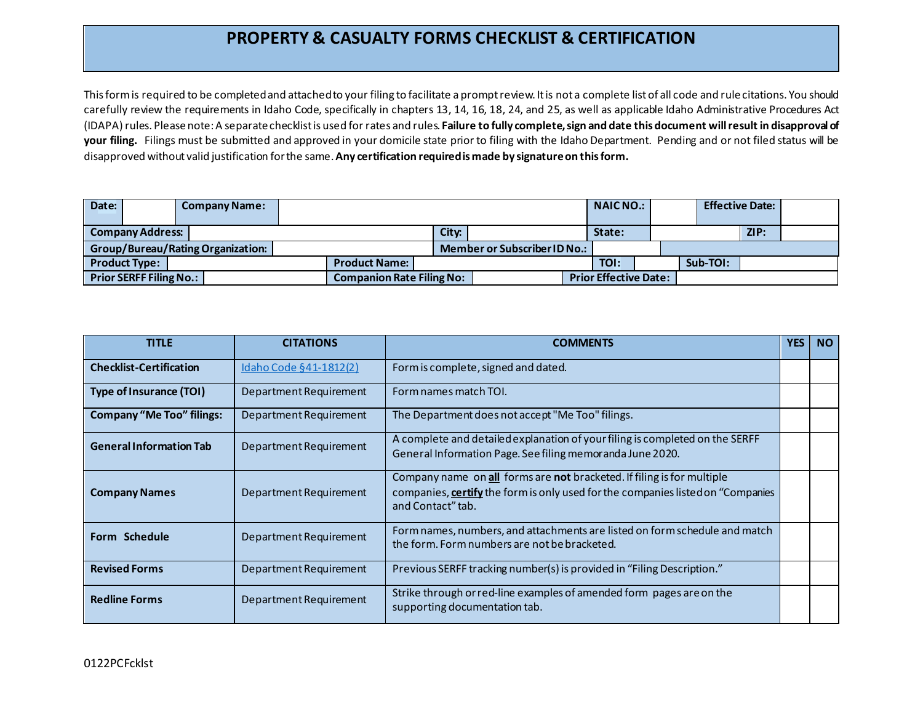## **PROPERTY & CASUALTY FORMS CHECKLIST & CERTIFICATION**

This form is required to be completed and attached to your filing to facilitate a prompt review. It is not a complete list of all code and rule citations. You should carefully review the requirements in Idaho Code, specifically in chapters 13, 14, 16, 18, 24, and 25, as well as applicable Idaho Administrative Procedures Act (IDAPA) rules. Please note: A separate checklist is used for rates and rules. **Failure to fully complete, sign and date this document will result in disapproval of your filing.** Filings must be submitted and approved in your domicile state prior to filing with the Idaho Department. Pending and or not filed status will be disapproved without valid justification for the same. **Any certification required is made by signature on this form.**

| Date:                             |  | <b>Company Name:</b> |                                  |  |                              | <b>NAICNO.:</b>              |          | <b>Effective Date:</b> |  |  |
|-----------------------------------|--|----------------------|----------------------------------|--|------------------------------|------------------------------|----------|------------------------|--|--|
|                                   |  |                      |                                  |  |                              |                              |          |                        |  |  |
| <b>Company Address:</b>           |  |                      | City:                            |  | State:                       |                              | ZIP:     |                        |  |  |
| Group/Bureau/Rating Organization: |  |                      |                                  |  | Member or Subscriber ID No.: |                              |          |                        |  |  |
| <b>Product Type:</b>              |  |                      | <b>Product Name:</b>             |  |                              | TOI:                         | Sub-TOI: |                        |  |  |
| <b>Prior SERFF Filing No.:</b>    |  |                      | <b>Companion Rate Filing No:</b> |  |                              | <b>Prior Effective Date:</b> |          |                        |  |  |

| <b>TITLE</b>                     | <b>CITATIONS</b>       | <b>COMMENTS</b>                                                                                                                                                                 |  | <b>NO</b> |
|----------------------------------|------------------------|---------------------------------------------------------------------------------------------------------------------------------------------------------------------------------|--|-----------|
| <b>Checklist-Certification</b>   | Idaho Code §41-1812(2) | Form is complete, signed and dated.                                                                                                                                             |  |           |
| <b>Type of Insurance (TOI)</b>   | Department Requirement | Form names match TOI.                                                                                                                                                           |  |           |
| <b>Company "Me Too" filings:</b> | Department Requirement | The Department does not accept "Me Too" filings.                                                                                                                                |  |           |
| <b>General Information Tab</b>   | Department Requirement | A complete and detailed explanation of your filing is completed on the SERFF<br>General Information Page. See filing memoranda June 2020.                                       |  |           |
| <b>Company Names</b>             | Department Requirement | Company name on all forms are not bracketed. If filing is for multiple<br>companies, certify the form is only used for the companies listed on "Companies"<br>and Contact" tab. |  |           |
| Form Schedule                    | Department Requirement | Form names, numbers, and attachments are listed on form schedule and match<br>the form. Form numbers are not be bracketed.                                                      |  |           |
| <b>Revised Forms</b>             | Department Requirement | Previous SERFF tracking number(s) is provided in "Filing Description."                                                                                                          |  |           |
| <b>Redline Forms</b>             | Department Requirement | Strike through or red-line examples of amended form pages are on the<br>supporting documentation tab.                                                                           |  |           |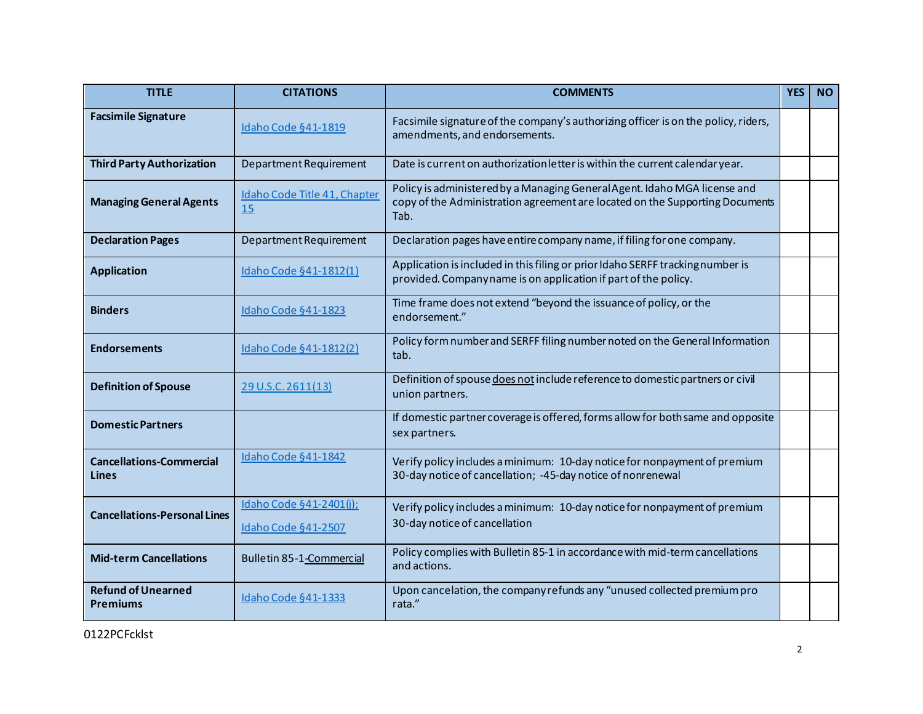| <b>TITLE</b>                                 | <b>CITATIONS</b>                                      | <b>COMMENTS</b>                                                                                                                                                   |  | <b>NO</b> |
|----------------------------------------------|-------------------------------------------------------|-------------------------------------------------------------------------------------------------------------------------------------------------------------------|--|-----------|
| <b>Facsimile Signature</b>                   | Idaho Code §41-1819                                   | Facsimile signature of the company's authorizing officer is on the policy, riders,<br>amendments, and endorsements.                                               |  |           |
| <b>Third Party Authorization</b>             | Department Requirement                                | Date is current on authorization letter is within the current calendar year.                                                                                      |  |           |
| <b>Managing General Agents</b>               | Idaho Code Title 41, Chapter<br>15                    | Policy is administered by a Managing General Agent. Idaho MGA license and<br>copy of the Administration agreement are located on the Supporting Documents<br>Tab. |  |           |
| <b>Declaration Pages</b>                     | Department Requirement                                | Declaration pages have entire company name, if filing for one company.                                                                                            |  |           |
| <b>Application</b>                           | Idaho Code §41-1812(1)                                | Application is included in this filing or prior Idaho SERFF tracking number is<br>provided. Companyname is on application if part of the policy.                  |  |           |
| <b>Binders</b>                               | Idaho Code §41-1823                                   | Time frame does not extend "beyond the issuance of policy, or the<br>endorsement."                                                                                |  |           |
| <b>Endorsements</b>                          | Idaho Code §41-1812(2)                                | Policy form number and SERFF filing number noted on the General Information<br>tab.                                                                               |  |           |
| <b>Definition of Spouse</b>                  | 29 U.S.C. 2611(13)                                    | Definition of spouse does not include reference to domestic partners or civil<br>union partners.                                                                  |  |           |
| <b>Domestic Partners</b>                     |                                                       | If domestic partner coverage is offered, forms allow for both same and opposite<br>sex partners.                                                                  |  |           |
| <b>Cancellations-Commercial</b><br>Lines     | Idaho Code §41-1842                                   | Verify policy includes a minimum: 10-day notice for nonpayment of premium<br>30-day notice of cancellation; -45-day notice of nonrenewal                          |  |           |
| <b>Cancellations-Personal Lines</b>          | Idaho Code §41-2401(i);<br><b>Idaho Code §41-2507</b> | Verify policy includes a minimum: 10-day notice for nonpayment of premium<br>30-day notice of cancellation                                                        |  |           |
| <b>Mid-term Cancellations</b>                | Bulletin 85-1-Commercial                              | Policy complies with Bulletin 85-1 in accordance with mid-term cancellations<br>and actions.                                                                      |  |           |
| <b>Refund of Unearned</b><br><b>Premiums</b> | Idaho Code §41-1333                                   | Upon cancelation, the company refunds any "unused collected premium pro<br>rata."                                                                                 |  |           |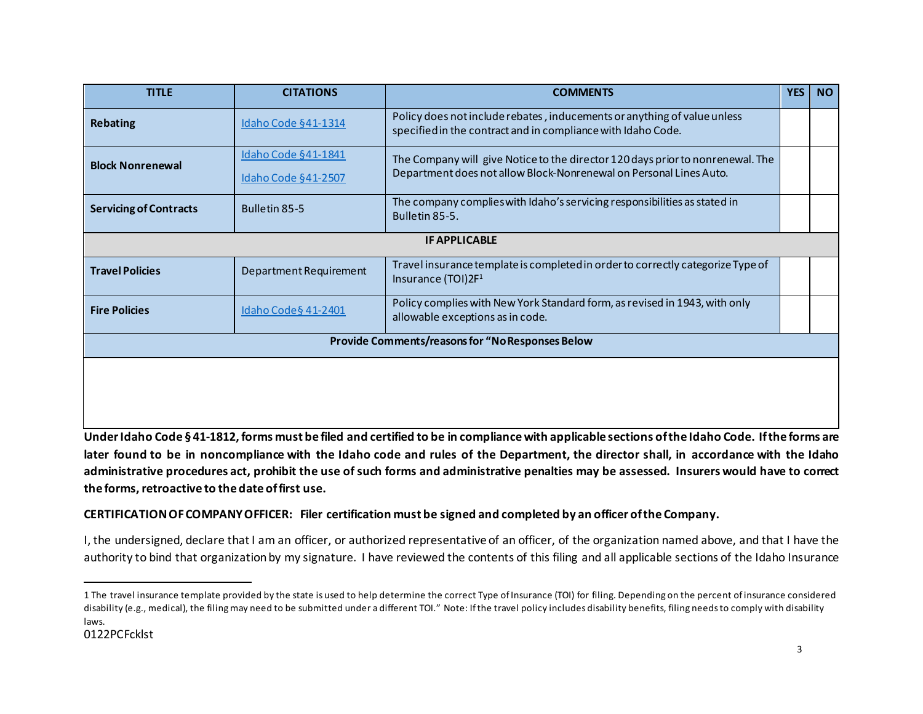<span id="page-2-0"></span>

| <b>TITLE</b>                                            | <b>CITATIONS</b>                                  | <b>COMMENTS</b>                                                                                                                                      | <b>YES</b> | <b>NO</b> |  |  |  |  |
|---------------------------------------------------------|---------------------------------------------------|------------------------------------------------------------------------------------------------------------------------------------------------------|------------|-----------|--|--|--|--|
| <b>Rebating</b>                                         | <b>Idaho Code §41-1314</b>                        | Policy does not include rebates, inducements or anything of value unless<br>specified in the contract and in compliance with Idaho Code.             |            |           |  |  |  |  |
| <b>Block Nonrenewal</b>                                 | Idaho Code §41-1841<br><b>Idaho Code §41-2507</b> | The Company will give Notice to the director 120 days prior to nonrenewal. The<br>Department does not allow Block-Nonrenewal on Personal Lines Auto. |            |           |  |  |  |  |
| <b>Servicing of Contracts</b>                           | Bulletin 85-5                                     | The company complies with Idaho's servicing responsibilities as stated in<br>Bulletin 85-5.                                                          |            |           |  |  |  |  |
|                                                         |                                                   | <b>IF APPLICABLE</b>                                                                                                                                 |            |           |  |  |  |  |
| <b>Travel Policies</b>                                  | Department Requirement                            | Travel insurance template is completed in order to correctly categorize Type of<br>Insurance (TOI)2F <sup>1</sup>                                    |            |           |  |  |  |  |
| <b>Fire Policies</b>                                    | Idaho Code § 41-2401                              | Policy complies with New York Standard form, as revised in 1943, with only<br>allowable exceptions as in code.                                       |            |           |  |  |  |  |
| <b>Provide Comments/reasons for "No Responses Below</b> |                                                   |                                                                                                                                                      |            |           |  |  |  |  |
|                                                         |                                                   |                                                                                                                                                      |            |           |  |  |  |  |

**Under Idaho Code § 41-1812, forms must be filed and certified to be in compliance with applicable sections of the Idaho Code. If the forms are later found to be in noncompliance with the Idaho code and rules of the Department, the director shall, in accordance with the Idaho administrative procedures act, prohibit the use of such forms and administrative penalties may be assessed. Insurers would have to correct the forms, retroactive to the date of first use.**

## **CERTIFICATION OF COMPANY OFFICER: Filer certification must be signed and completed by an officer of the Company.**

I, the undersigned, declare that I am an officer, or authorized representative of an officer, of the organization named above, and that I have the authority to bind that organization by my signature. I have reviewed the contents of this filing and all applicable sections of the Idaho Insurance

<sup>1</sup> The travel insurance template provided by the state is used to help determine the correct Type of Insurance (TOI) for filing. Depending on the percent of insurance considered disability (e.g., medical), the filing may need to be submitted under a different TOI." Note: If the travel policy includes disability benefits, filing needs to comply with disability laws.